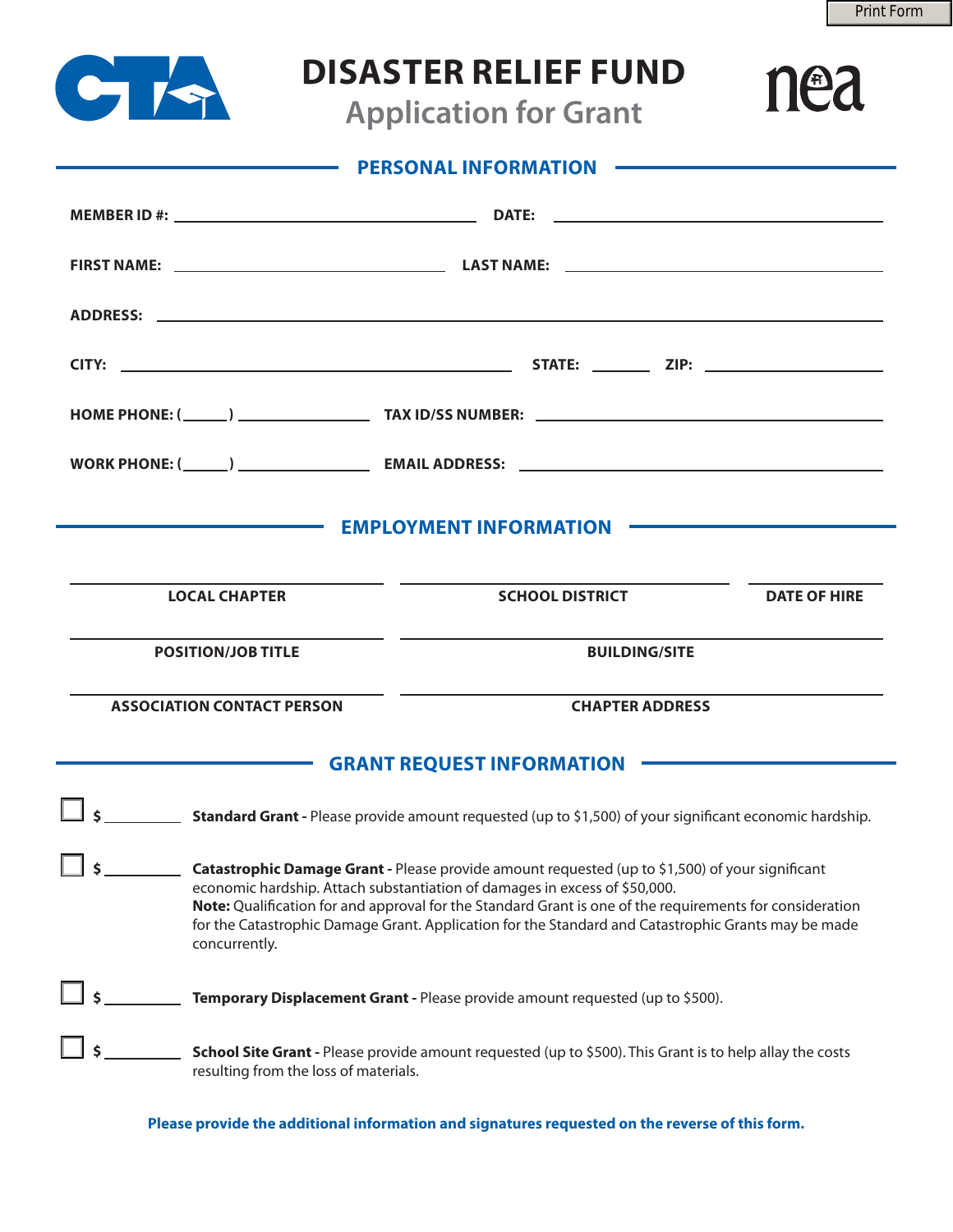nea



## **DISASTER RELIEF FUND**

**Application for Grant**

| PERSONAL INFORMATION                                                                                                                                                                                                                                                                                                                                                                                                                          |                                                                               |                                                                                                                                                                                                                                      |                     |
|-----------------------------------------------------------------------------------------------------------------------------------------------------------------------------------------------------------------------------------------------------------------------------------------------------------------------------------------------------------------------------------------------------------------------------------------------|-------------------------------------------------------------------------------|--------------------------------------------------------------------------------------------------------------------------------------------------------------------------------------------------------------------------------------|---------------------|
|                                                                                                                                                                                                                                                                                                                                                                                                                                               |                                                                               |                                                                                                                                                                                                                                      |                     |
|                                                                                                                                                                                                                                                                                                                                                                                                                                               |                                                                               |                                                                                                                                                                                                                                      |                     |
|                                                                                                                                                                                                                                                                                                                                                                                                                                               |                                                                               |                                                                                                                                                                                                                                      |                     |
|                                                                                                                                                                                                                                                                                                                                                                                                                                               |                                                                               |                                                                                                                                                                                                                                      |                     |
|                                                                                                                                                                                                                                                                                                                                                                                                                                               |                                                                               |                                                                                                                                                                                                                                      |                     |
|                                                                                                                                                                                                                                                                                                                                                                                                                                               |                                                                               |                                                                                                                                                                                                                                      |                     |
|                                                                                                                                                                                                                                                                                                                                                                                                                                               |                                                                               |                                                                                                                                                                                                                                      |                     |
|                                                                                                                                                                                                                                                                                                                                                                                                                                               |                                                                               | EMPLOYMENT INFORMATION <b>EXAMPLOYMENT</b>                                                                                                                                                                                           |                     |
|                                                                                                                                                                                                                                                                                                                                                                                                                                               |                                                                               |                                                                                                                                                                                                                                      |                     |
| <b>LOCAL CHAPTER</b>                                                                                                                                                                                                                                                                                                                                                                                                                          |                                                                               | <b>SCHOOL DISTRICT</b>                                                                                                                                                                                                               | <b>DATE OF HIRE</b> |
| <b>POSITION/JOB TITLE</b>                                                                                                                                                                                                                                                                                                                                                                                                                     |                                                                               | <u> 1989 - John Stone, svensk politik (* 1918)</u><br><b>BUILDING/SITE</b>                                                                                                                                                           |                     |
| <b>ASSOCIATION CONTACT PERSON</b>                                                                                                                                                                                                                                                                                                                                                                                                             |                                                                               | <b>CHAPTER ADDRESS</b>                                                                                                                                                                                                               |                     |
|                                                                                                                                                                                                                                                                                                                                                                                                                                               |                                                                               | GRANT REQUEST INFORMATION <b>CONSIDERING THE CONSTRUCT OF A REAL PROPERTY OF A REAL PROPERTY OF A REAL PROPERTY OF A REAL PROPERTY OF A REAL PROPERTY OF A REAL PROPERTY OF A REAL PROPERTY OF A REAL PROPERTY OF A REAL PROPERT</b> |                     |
|                                                                                                                                                                                                                                                                                                                                                                                                                                               |                                                                               |                                                                                                                                                                                                                                      |                     |
| $\overline{\phantom{0}}$<br>Catastrophic Damage Grant - Please provide amount requested (up to \$1,500) of your significant<br>economic hardship. Attach substantiation of damages in excess of \$50,000.<br>Note: Qualification for and approval for the Standard Grant is one of the requirements for consideration<br>for the Catastrophic Damage Grant. Application for the Standard and Catastrophic Grants may be made<br>concurrently. |                                                                               |                                                                                                                                                                                                                                      |                     |
|                                                                                                                                                                                                                                                                                                                                                                                                                                               | Temporary Displacement Grant - Please provide amount requested (up to \$500). |                                                                                                                                                                                                                                      |                     |
| School Site Grant - Please provide amount requested (up to \$500). This Grant is to help allay the costs<br>resulting from the loss of materials.                                                                                                                                                                                                                                                                                             |                                                                               |                                                                                                                                                                                                                                      |                     |

**Please provide the additional information and signatures requested on the reverse of this form.**